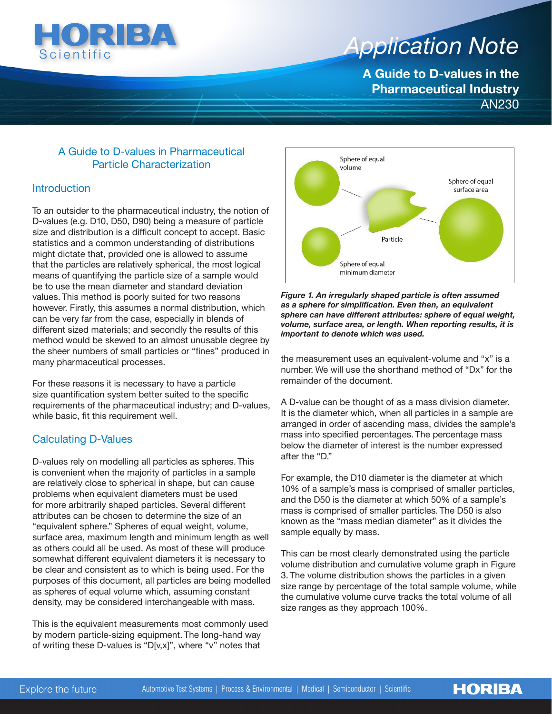

# *Application Note Application Note*

**A Guide to D-values in the Pharmaceutical Industry** AN230

# A Guide to D-values in Pharmaceutical Particle Characterization

# **Introduction**

To an outsider to the pharmaceutical industry, the notion of D-values (e.g. D10, D50, D90) being a measure of particle size and distribution is a difficult concept to accept. Basic statistics and a common understanding of distributions might dictate that, provided one is allowed to assume that the particles are relatively spherical, the most logical means of quantifying the particle size of a sample would be to use the mean diameter and standard deviation values. This method is poorly suited for two reasons however. Firstly, this assumes a normal distribution, which can be very far from the case, especially in blends of different sized materials; and secondly the results of this method would be skewed to an almost unusable degree by the sheer numbers of small particles or "fines" produced in many pharmaceutical processes.

For these reasons it is necessary to have a particle size quantification system better suited to the specific requirements of the pharmaceutical industry; and D-values, while basic, fit this requirement well.

# Calculating D-Values

D-values rely on modelling all particles as spheres. This is convenient when the majority of particles in a sample are relatively close to spherical in shape, but can cause problems when equivalent diameters must be used for more arbitrarily shaped particles. Several different attributes can be chosen to determine the size of an "equivalent sphere." Spheres of equal weight, volume, surface area, maximum length and minimum length as well as others could all be used. As most of these will produce somewhat different equivalent diameters it is necessary to be clear and consistent as to which is being used. For the purposes of this document, all particles are being modelled as spheres of equal volume which, assuming constant density, may be considered interchangeable with mass.

This is the equivalent measurements most commonly used by modern particle-sizing equipment. The long-hand way of writing these D-values is "D[v,x]", where "v" notes that



*Figure 1. An irregularly shaped particle is often assumed as a sphere for simplification. Even then, an equivalent sphere can have different attributes: sphere of equal weight, volume, surface area, or length. When reporting results, it is important to denote which was used.*

the measurement uses an equivalent-volume and "x" is a number. We will use the shorthand method of "Dx" for the remainder of the document.

A D-value can be thought of as a mass division diameter. It is the diameter which, when all particles in a sample are arranged in order of ascending mass, divides the sample's mass into specified percentages. The percentage mass below the diameter of interest is the number expressed after the "D."

For example, the D10 diameter is the diameter at which 10% of a sample's mass is comprised of smaller particles, and the D50 is the diameter at which 50% of a sample's mass is comprised of smaller particles. The D50 is also known as the "mass median diameter" as it divides the sample equally by mass.

This can be most clearly demonstrated using the particle volume distribution and cumulative volume graph in Figure 3. The volume distribution shows the particles in a given size range by percentage of the total sample volume, while the cumulative volume curve tracks the total volume of all size ranges as they approach 100%.

**HORIBA**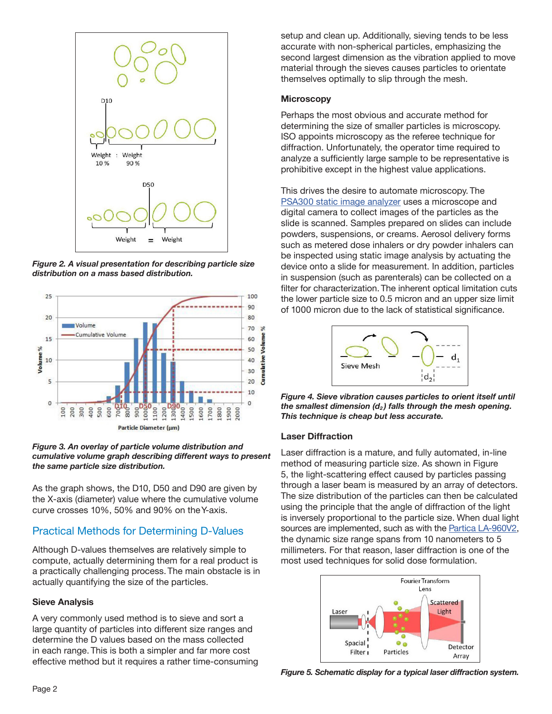

*Figure 2. A visual presentation for describing particle size distribution on a mass based distribution.*



*Figure 3. An overlay of particle volume distribution and cumulative volume graph describing different ways to present the same particle size distribution.*

As the graph shows, the D10, D50 and D90 are given by the X-axis (diameter) value where the cumulative volume curve crosses 10%, 50% and 90% on the Y-axis.

# Practical Methods for Determining D-Values

Although D-values themselves are relatively simple to compute, actually determining them for a real product is a practically challenging process. The main obstacle is in actually quantifying the size of the particles.

#### **Sieve Analysis**

A very commonly used method is to sieve and sort a large quantity of particles into different size ranges and determine the D values based on the mass collected in each range. This is both a simpler and far more cost effective method but it requires a rather time-consuming setup and clean up. Additionally, sieving tends to be less accurate with non-spherical particles, emphasizing the second largest dimension as the vibration applied to move material through the sieves causes particles to orientate themselves optimally to slip through the mesh.

#### **Microscopy**

Perhaps the most obvious and accurate method for determining the size of smaller particles is microscopy. ISO appoints microscopy as the referee technique for diffraction. Unfortunately, the operator time required to analyze a sufficiently large sample to be representative is prohibitive except in the highest value applications.

This drives the desire to automate microscopy. The [PSA300 static image analyzer](https://www.horiba.com/en_en/products/detail/action/show/Product/psa300-1385/) uses a microscope and digital camera to collect images of the particles as the slide is scanned. Samples prepared on slides can include powders, suspensions, or creams. Aerosol delivery forms such as metered dose inhalers or dry powder inhalers can be inspected using static image analysis by actuating the device onto a slide for measurement. In addition, particles in suspension (such as parenterals) can be collected on a filter for characterization. The inherent optical limitation cuts the lower particle size to 0.5 micron and an upper size limit of 1000 micron due to the lack of statistical significance.



*Figure 4. Sieve vibration causes particles to orient itself until the smallest dimension (d<sub>2</sub>) falls through the mesh opening. This technique is cheap but less accurate.*

#### **Laser Diffraction**

Laser diffraction is a mature, and fully automated, in-line method of measuring particle size. As shown in Figure 5, the light-scattering effect caused by particles passing through a laser beam is measured by an array of detectors. The size distribution of the particles can then be calculated using the principle that the angle of diffraction of the light is inversely proportional to the particle size. When dual light sources are implemented, such as with the [Partica LA-960V2](https://www.horiba.com/en_en/products/detail/action/show/Product/partica-la-960v2-1944/), the dynamic size range spans from 10 nanometers to 5 millimeters. For that reason, laser diffraction is one of the most used techniques for solid dose formulation.



*Figure 5. Schematic display for a typical laser diffraction system.*